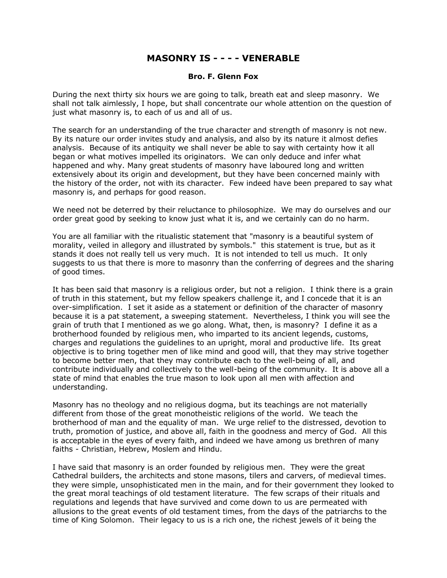## **MASONRY IS - - - - VENERABLE**

## **Bro. F. Glenn Fox**

During the next thirty six hours we are going to talk, breath eat and sleep masonry. We shall not talk aimlessly, I hope, but shall concentrate our whole attention on the question of just what masonry is, to each of us and all of us.

The search for an understanding of the true character and strength of masonry is not new. By its nature our order invites study and analysis, and also by its nature it almost defies analysis. Because of its antiquity we shall never be able to say with certainty how it all began or what motives impelled its originators. We can only deduce and infer what happened and why. Many great students of masonry have laboured long and written extensively about its origin and development, but they have been concerned mainly with the history of the order, not with its character. Few indeed have been prepared to say what masonry is, and perhaps for good reason.

We need not be deterred by their reluctance to philosophize. We may do ourselves and our order great good by seeking to know just what it is, and we certainly can do no harm.

You are all familiar with the ritualistic statement that "masonry is a beautiful system of morality, veiled in allegory and illustrated by symbols." this statement is true, but as it stands it does not really tell us very much. It is not intended to tell us much. It only suggests to us that there is more to masonry than the conferring of degrees and the sharing of good times.

It has been said that masonry is a religious order, but not a religion. I think there is a grain of truth in this statement, but my fellow speakers challenge it, and I concede that it is an over-simplification. I set it aside as a statement or definition of the character of masonry because it is a pat statement, a sweeping statement. Nevertheless, I think you will see the grain of truth that I mentioned as we go along. What, then, is masonry? I define it as a brotherhood founded by religious men, who imparted to its ancient legends, customs, charges and regulations the guidelines to an upright, moral and productive life. Its great objective is to bring together men of like mind and good will, that they may strive together to become better men, that they may contribute each to the well-being of all, and contribute individually and collectively to the well-being of the community. It is above all a state of mind that enables the true mason to look upon all men with affection and understanding.

Masonry has no theology and no religious dogma, but its teachings are not materially different from those of the great monotheistic religions of the world. We teach the brotherhood of man and the equality of man. We urge relief to the distressed, devotion to truth, promotion of justice, and above all, faith in the goodness and mercy of God. All this is acceptable in the eyes of every faith, and indeed we have among us brethren of many faiths - Christian, Hebrew, Moslem and Hindu.

I have said that masonry is an order founded by religious men. They were the great Cathedral builders, the architects and stone masons, tilers and carvers, of medieval times. they were simple, unsophisticated men in the main, and for their government they looked to the great moral teachings of old testament literature. The few scraps of their rituals and regulations and legends that have survived and come down to us are permeated with allusions to the great events of old testament times, from the days of the patriarchs to the time of King Solomon. Their legacy to us is a rich one, the richest jewels of it being the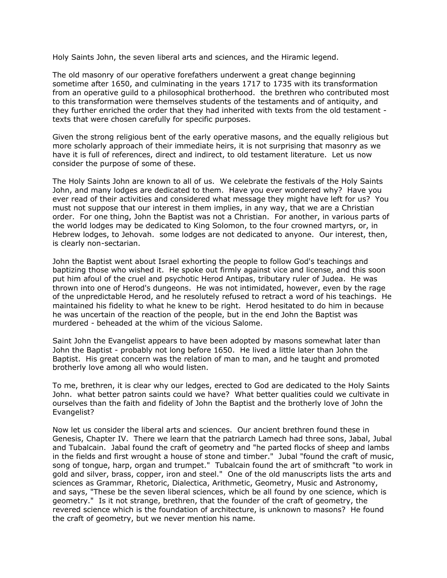Holy Saints John, the seven liberal arts and sciences, and the Hiramic legend.

The old masonry of our operative forefathers underwent a great change beginning sometime after 1650, and culminating in the years 1717 to 1735 with its transformation from an operative guild to a philosophical brotherhood. the brethren who contributed most to this transformation were themselves students of the testaments and of antiquity, and they further enriched the order that they had inherited with texts from the old testament texts that were chosen carefully for specific purposes.

Given the strong religious bent of the early operative masons, and the equally religious but more scholarly approach of their immediate heirs, it is not surprising that masonry as we have it is full of references, direct and indirect, to old testament literature. Let us now consider the purpose of some of these.

The Holy Saints John are known to all of us. We celebrate the festivals of the Holy Saints John, and many lodges are dedicated to them. Have you ever wondered why? Have you ever read of their activities and considered what message they might have left for us? You must not suppose that our interest in them implies, in any way, that we are a Christian order. For one thing, John the Baptist was not a Christian. For another, in various parts of the world lodges may be dedicated to King Solomon, to the four crowned martyrs, or, in Hebrew lodges, to Jehovah. some lodges are not dedicated to anyone. Our interest, then, is clearly non-sectarian.

John the Baptist went about Israel exhorting the people to follow God's teachings and baptizing those who wished it. He spoke out firmly against vice and license, and this soon put him afoul of the cruel and psychotic Herod Antipas, tributary ruler of Judea. He was thrown into one of Herod's dungeons. He was not intimidated, however, even by the rage of the unpredictable Herod, and he resolutely refused to retract a word of his teachings. He maintained his fidelity to what he knew to be right. Herod hesitated to do him in because he was uncertain of the reaction of the people, but in the end John the Baptist was murdered - beheaded at the whim of the vicious Salome.

Saint John the Evangelist appears to have been adopted by masons somewhat later than John the Baptist - probably not long before 1650. He lived a little later than John the Baptist. His great concern was the relation of man to man, and he taught and promoted brotherly love among all who would listen.

To me, brethren, it is clear why our ledges, erected to God are dedicated to the Holy Saints John. what better patron saints could we have? What better qualities could we cultivate in ourselves than the faith and fidelity of John the Baptist and the brotherly love of John the Evangelist?

Now let us consider the liberal arts and sciences. Our ancient brethren found these in Genesis, Chapter IV. There we learn that the patriarch Lamech had three sons, Jabal, Jubal and Tubalcain. Jabal found the craft of geometry and "he parted flocks of sheep and lambs in the fields and first wrought a house of stone and timber." Jubal "found the craft of music, song of tongue, harp, organ and trumpet." Tubalcain found the art of smithcraft "to work in gold and silver, brass, copper, iron and steel." One of the old manuscripts lists the arts and sciences as Grammar, Rhetoric, Dialectica, Arithmetic, Geometry, Music and Astronomy, and says, "These be the seven liberal sciences, which be all found by one science, which is geometry." Is it not strange, brethren, that the founder of the craft of geometry, the revered science which is the foundation of architecture, is unknown to masons? He found the craft of geometry, but we never mention his name.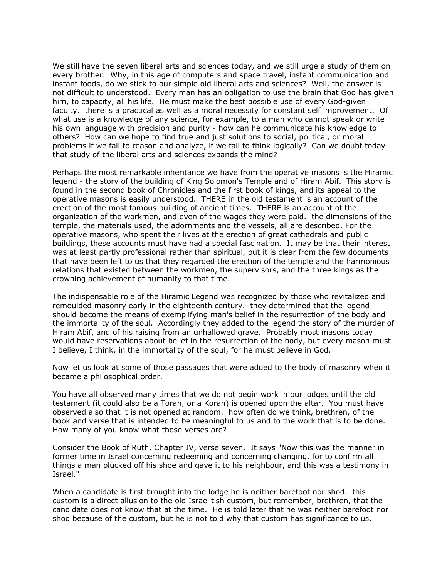We still have the seven liberal arts and sciences today, and we still urge a study of them on every brother. Why, in this age of computers and space travel, instant communication and instant foods, do we stick to our simple old liberal arts and sciences? Well, the answer is not difficult to understood. Every man has an obligation to use the brain that God has given him, to capacity, all his life. He must make the best possible use of every God-given faculty. there is a practical as well as a moral necessity for constant self improvement. Of what use is a knowledge of any science, for example, to a man who cannot speak or write his own language with precision and purity - how can he communicate his knowledge to others? How can we hope to find true and just solutions to social, political, or moral problems if we fail to reason and analyze, if we fail to think logically? Can we doubt today that study of the liberal arts and sciences expands the mind?

Perhaps the most remarkable inheritance we have from the operative masons is the Hiramic legend - the story of the building of King Solomon's Temple and of Hiram Abif. This story is found in the second book of Chronicles and the first book of kings, and its appeal to the operative masons is easily understood. THERE in the old testament is an account of the erection of the most famous building of ancient times. THERE is an account of the organization of the workmen, and even of the wages they were paid. the dimensions of the temple, the materials used, the adornments and the vessels, all are described. For the operative masons, who spent their lives at the erection of great cathedrals and public buildings, these accounts must have had a special fascination. It may be that their interest was at least partly professional rather than spiritual, but it is clear from the few documents that have been left to us that they regarded the erection of the temple and the harmonious relations that existed between the workmen, the supervisors, and the three kings as the crowning achievement of humanity to that time.

The indispensable role of the Hiramic Legend was recognized by those who revitalized and remoulded masonry early in the eighteenth century. they determined that the legend should become the means of exemplifying man's belief in the resurrection of the body and the immortality of the soul. Accordingly they added to the legend the story of the murder of Hiram Abif, and of his raising from an unhallowed grave. Probably most masons today would have reservations about belief in the resurrection of the body, but every mason must I believe, I think, in the immortality of the soul, for he must believe in God.

Now let us look at some of those passages that were added to the body of masonry when it became a philosophical order.

You have all observed many times that we do not begin work in our lodges until the old testament (it could also be a Torah, or a Koran) is opened upon the altar. You must have observed also that it is not opened at random. how often do we think, brethren, of the book and verse that is intended to be meaningful to us and to the work that is to be done. How many of you know what those verses are?

Consider the Book of Ruth, Chapter IV, verse seven. It says "Now this was the manner in former time in Israel concerning redeeming and concerning changing, for to confirm all things a man plucked off his shoe and gave it to his neighbour, and this was a testimony in Israel."

When a candidate is first brought into the lodge he is neither barefoot nor shod. this custom is a direct allusion to the old Israelitish custom, but remember, brethren, that the candidate does not know that at the time. He is told later that he was neither barefoot nor shod because of the custom, but he is not told why that custom has significance to us.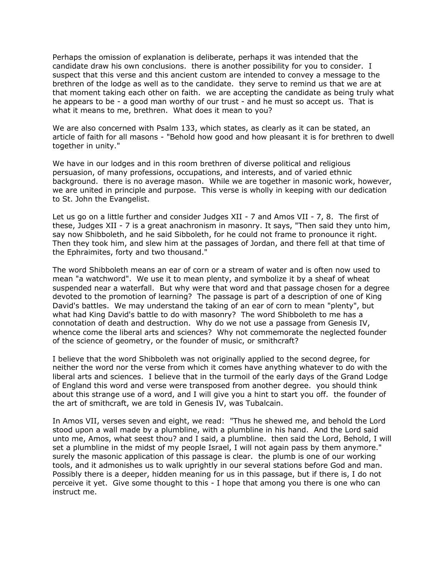Perhaps the omission of explanation is deliberate, perhaps it was intended that the candidate draw his own conclusions. there is another possibility for you to consider. I suspect that this verse and this ancient custom are intended to convey a message to the brethren of the lodge as well as to the candidate. they serve to remind us that we are at that moment taking each other on faith. we are accepting the candidate as being truly what he appears to be - a good man worthy of our trust - and he must so accept us. That is what it means to me, brethren. What does it mean to you?

We are also concerned with Psalm 133, which states, as clearly as it can be stated, an article of faith for all masons - "Behold how good and how pleasant it is for brethren to dwell together in unity."

We have in our lodges and in this room brethren of diverse political and religious persuasion, of many professions, occupations, and interests, and of varied ethnic background. there is no average mason. While we are together in masonic work, however, we are united in principle and purpose. This verse is wholly in keeping with our dedication to St. John the Evangelist.

Let us go on a little further and consider Judges XII - 7 and Amos VII - 7, 8. The first of these, Judges XII - 7 is a great anachronism in masonry. It says, "Then said they unto him, say now Shibboleth, and he said Sibboleth, for he could not frame to pronounce it right. Then they took him, and slew him at the passages of Jordan, and there fell at that time of the Ephraimites, forty and two thousand."

The word Shibboleth means an ear of corn or a stream of water and is often now used to mean "a watchword". We use it to mean plenty, and symbolize it by a sheaf of wheat suspended near a waterfall. But why were that word and that passage chosen for a degree devoted to the promotion of learning? The passage is part of a description of one of King David's battles. We may understand the taking of an ear of corn to mean "plenty", but what had King David's battle to do with masonry? The word Shibboleth to me has a connotation of death and destruction. Why do we not use a passage from Genesis IV, whence come the liberal arts and sciences? Why not commemorate the neglected founder of the science of geometry, or the founder of music, or smithcraft?

I believe that the word Shibboleth was not originally applied to the second degree, for neither the word nor the verse from which it comes have anything whatever to do with the liberal arts and sciences. I believe that in the turmoil of the early days of the Grand Lodge of England this word and verse were transposed from another degree. you should think about this strange use of a word, and I will give you a hint to start you off. the founder of the art of smithcraft, we are told in Genesis IV, was Tubalcain.

In Amos VII, verses seven and eight, we read: "Thus he shewed me, and behold the Lord stood upon a wall made by a plumbline, with a plumbline in his hand. And the Lord said unto me, Amos, what seest thou? and I said, a plumbline. then said the Lord, Behold, I will set a plumbline in the midst of my people Israel, I will not again pass by them anymore." surely the masonic application of this passage is clear. the plumb is one of our working tools, and it admonishes us to walk uprightly in our several stations before God and man. Possibly there is a deeper, hidden meaning for us in this passage, but if there is, I do not perceive it yet. Give some thought to this - I hope that among you there is one who can instruct me.